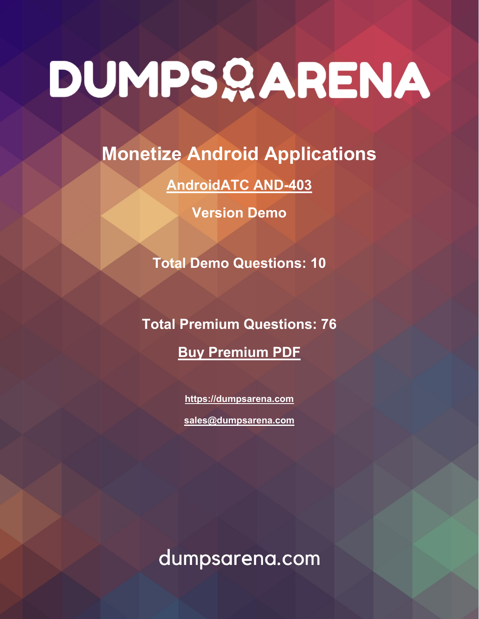**Monetize Android Applications**

**[AndroidATC AND-403](https://dumpsarena.com/exam/and-403/)**

**Version Demo**

**Total Demo Questions: 10**

**Total Premium Questions: 76 [Buy Premium PDF](https://dumpsarena.com/exam/and-403/)**

> **[https://dumpsarena.com](https://dumpsarena.com/) [sales@dumpsarena.com](mailto:sales@dumpsarena.com)**

dumpsarena.com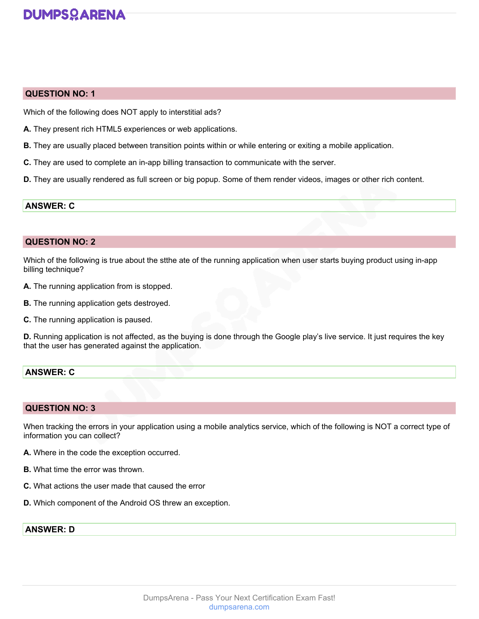#### **QUESTION NO: 1**

Which of the following does NOT apply to interstitial ads?

- **A.** They present rich HTML5 experiences or web applications.
- **B.** They are usually placed between transition points within or while entering or exiting a mobile application.
- **C.** They are used to complete an in-app billing transaction to communicate with the server.
- **D.** They are usually rendered as full screen or big popup. Some of them render videos, images or other rich content.

#### **ANSWER: C**

#### **QUESTION NO: 2**

Which of the following is true about the stthe ate of the running application when user starts buying product using in-app billing technique?

- **A.** The running application from is stopped.
- **B.** The running application gets destroyed.
- **C.** The running application is paused.

**D.** Running application is not affected, as the buying is done through the Google play's live service. It just requires the key that the user has generated against the application.

## **ANSWER: C**

#### **QUESTION NO: 3**

When tracking the errors in your application using a mobile analytics service, which of the following is NOT a correct type of information you can collect?

- **A.** Where in the code the exception occurred.
- **B.** What time the error was thrown.
- **C.** What actions the user made that caused the error
- **D.** Which component of the Android OS threw an exception.

## **ANSWER: D**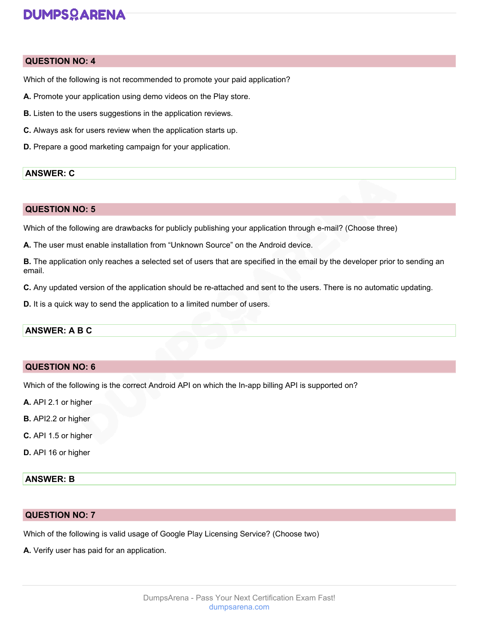#### **QUESTION NO: 4**

Which of the following is not recommended to promote your paid application?

- **A.** Promote your application using demo videos on the Play store.
- **B.** Listen to the users suggestions in the application reviews.
- **C.** Always ask for users review when the application starts up.
- **D.** Prepare a good marketing campaign for your application.

#### **ANSWER: C**

#### **QUESTION NO: 5**

Which of the following are drawbacks for publicly publishing your application through e-mail? (Choose three)

**A.** The user must enable installation from "Unknown Source" on the Android device.

**B.** The application only reaches a selected set of users that are specified in the email by the developer prior to sending an email.

**C.** Any updated version of the application should be re-attached and sent to the users. There is no automatic updating.

**D.** It is a quick way to send the application to a limited number of users.

#### **ANSWER: A B C**

#### **QUESTION NO: 6**

Which of the following is the correct Android API on which the In-app billing API is supported on?

- **A.** API 2.1 or higher
- **B.** API2.2 or higher
- **C.** API 1.5 or higher
- **D.** API 16 or higher

#### **ANSWER: B**

#### **QUESTION NO: 7**

Which of the following is valid usage of Google Play Licensing Service? (Choose two)

**A.** Verify user has paid for an application.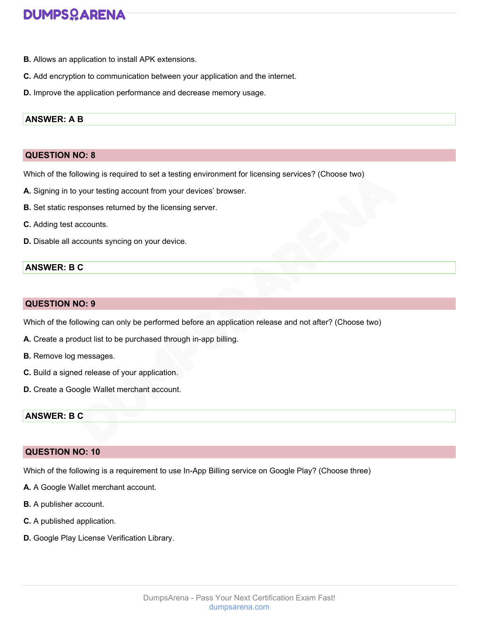- **B.** Allows an application to install APK extensions.
- **C.** Add encryption to communication between your application and the internet.
- **D.** Improve the application performance and decrease memory usage.

#### **ANSWER: A B**

## **QUESTION NO: 8**

Which of the following is required to set a testing environment for licensing services? (Choose two)

- **A.** Signing in to your testing account from your devices' browser.
- **B.** Set static responses returned by the licensing server.
- **C.** Adding test accounts.
- **D.** Disable all accounts syncing on your device.

### **ANSWER: B C**

#### **QUESTION NO: 9**

Which of the following can only be performed before an application release and not after? (Choose two)

- **A.** Create a product list to be purchased through in-app billing.
- **B.** Remove log messages.
- **C.** Build a signed release of your application.
- **D.** Create a Google Wallet merchant account.

#### **ANSWER: B C**

## **QUESTION NO: 10**

Which of the following is a requirement to use In-App Billing service on Google Play? (Choose three)

- **A.** A Google Wallet merchant account.
- **B.** A publisher account.
- **C.** A published application.
- **D.** Google Play License Verification Library.